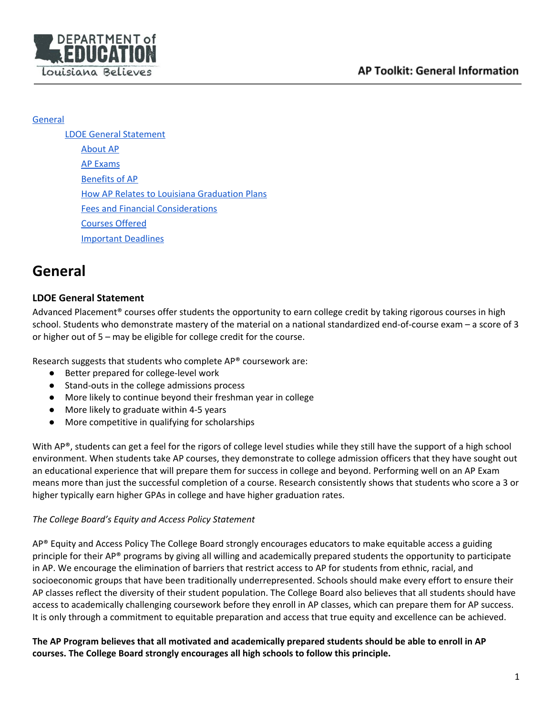

#### **[General](#page-0-0)**

LDOE General [Statement](#page-0-1) [About](#page-1-0) AP AP [Exams](#page-1-1) [Benefits](#page-2-0) of AP **How AP Relates to Louisiana [Graduation](#page-2-1) Plans** Fees and Financial [Considerations](#page-2-2) [Courses](#page-3-0) Offered [Important](#page-3-1) Deadlines

# <span id="page-0-0"></span>**General**

# <span id="page-0-1"></span>**LDOE General Statement**

Advanced Placement® courses offer students the opportunity to earn college credit by taking rigorous courses in high school. Students who demonstrate mastery of the material on a national standardized end-of-course exam – a score of 3 or higher out of 5 – may be eligible for college credit for the course.

Research suggests that students who complete AP® coursework are:

- Better prepared for college-level work
- Stand-outs in the college admissions process
- More likely to continue beyond their freshman year in college
- More likely to graduate within 4-5 years
- More competitive in qualifying for scholarships

With AP®, students can get a feel for the rigors of college level studies while they still have the support of a high school environment. When students take AP courses, they demonstrate to college admission officers that they have sought out an educational experience that will prepare them for success in college and beyond. Performing well on an AP Exam means more than just the successful completion of a course. Research consistently shows that students who score a 3 or higher typically earn higher GPAs in college and have higher graduation rates.

### *The College Board's Equity and Access Policy Statement*

AP® Equity and Access Policy The College Board strongly encourages educators to make equitable access a guiding principle for their AP® programs by giving all willing and academically prepared students the opportunity to participate in AP. We encourage the elimination of barriers that restrict access to AP for students from ethnic, racial, and socioeconomic groups that have been traditionally underrepresented. Schools should make every effort to ensure their AP classes reflect the diversity of their student population. The College Board also believes that all students should have access to academically challenging coursework before they enroll in AP classes, which can prepare them for AP success. It is only through a commitment to equitable preparation and access that true equity and excellence can be achieved.

The AP Program believes that all motivated and academically prepared students should be able to enroll in AP **courses. The College Board strongly encourages all high schools to follow this principle.**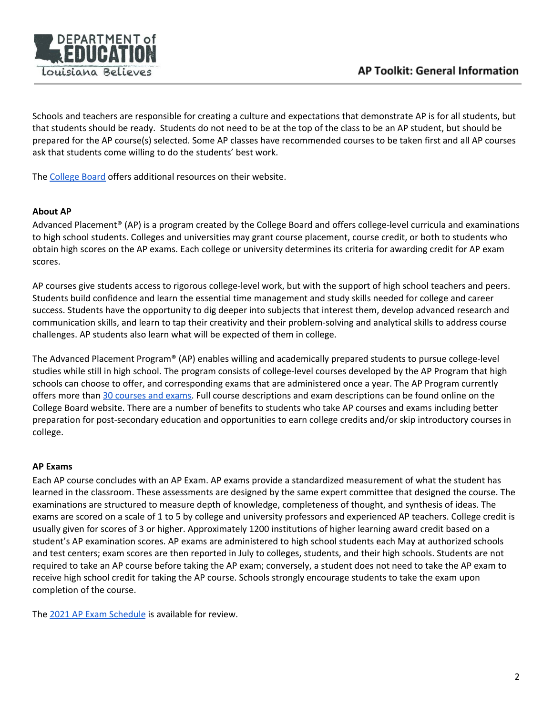

Schools and teachers are responsible for creating a culture and expectations that demonstrate AP is for all students, but that students should be ready. Students do not need to be at the top of the class to be an AP student, but should be prepared for the AP course(s) selected. Some AP classes have recommended courses to be taken first and all AP courses ask that students come willing to do the students' best work.

The [College](https://www.collegeboard.org/) Board offers additional resources on their website.

#### <span id="page-1-0"></span>**About AP**

Advanced Placement® (AP) is a program created by the College Board and offers college-level curricula and examinations to high school students. Colleges and universities may grant course placement, course credit, or both to students who obtain high scores on the AP exams. Each college or university determines its criteria for awarding credit for AP exam scores.

AP courses give students access to rigorous college-level work, but with the support of high school teachers and peers. Students build confidence and learn the essential time management and study skills needed for college and career success. Students have the opportunity to dig deeper into subjects that interest them, develop advanced research and communication skills, and learn to tap their creativity and their problem-solving and analytical skills to address course challenges. AP students also learn what will be expected of them in college.

The Advanced Placement Program® (AP) enables willing and academically prepared students to pursue college-level studies while still in high school. The program consists of college-level courses developed by the AP Program that high schools can choose to offer, and corresponding exams that are administered once a year. The AP Program currently offers more than 30 [courses](https://apcentral.collegeboard.org/courses) and exams. Full course descriptions and exam descriptions can be found online on the College Board website. There are a number of benefits to students who take AP courses and exams including better preparation for post-secondary education and opportunities to earn college credits and/or skip introductory courses in college.

#### <span id="page-1-1"></span>**AP Exams**

Each AP course concludes with an AP Exam. AP exams provide a standardized measurement of what the student has learned in the classroom. These assessments are designed by the same expert committee that designed the course. The examinations are structured to measure depth of knowledge, completeness of thought, and synthesis of ideas. The exams are scored on a scale of 1 to 5 by college and university professors and experienced AP teachers. College credit is usually given for scores of 3 or higher. Approximately 1200 institutions of higher learning award credit based on a student's AP examination scores. AP exams are administered to high school students each May at authorized schools and test centers; exam scores are then reported in July to colleges, students, and their high schools. Students are not required to take an AP course before taking the AP exam; conversely, a student does not need to take the AP exam to receive high school credit for taking the AP course. Schools strongly encourage students to take the exam upon completion of the course.

The 2021 AP Exam [Schedule](https://apcentral.collegeboard.org/courses/exam-dates-and-fees) is available for review.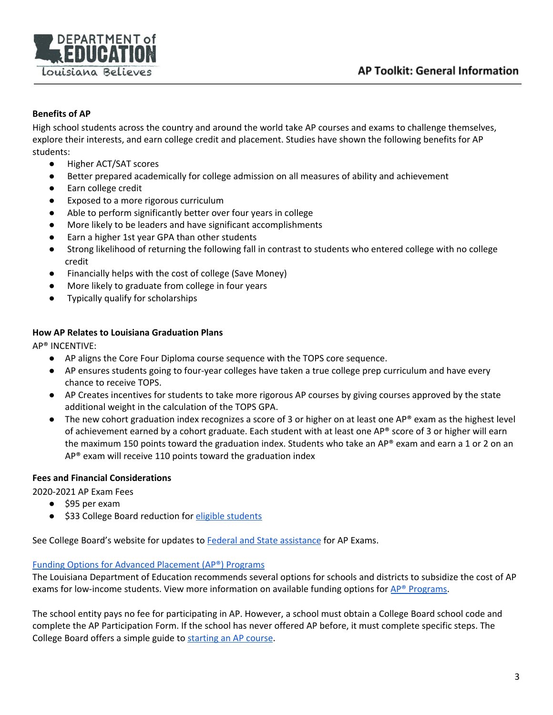

## <span id="page-2-0"></span>**Benefits of AP**

High school students across the country and around the world take AP courses and exams to challenge themselves, explore their interests, and earn college credit and placement. Studies have shown the following benefits for AP students:

- Higher ACT/SAT scores
- Better prepared academically for college admission on all measures of ability and achievement
- Earn college credit
- Exposed to a more rigorous curriculum
- Able to perform significantly better over four years in college
- More likely to be leaders and have significant accomplishments
- Earn a higher 1st year GPA than other students
- Strong likelihood of returning the following fall in contrast to students who entered college with no college credit
- Financially helps with the cost of college (Save Money)
- More likely to graduate from college in four years
- Typically qualify for scholarships

### <span id="page-2-1"></span>**How AP Relates to Louisiana Graduation Plans**

AP® INCENTIVE:

- AP aligns the Core Four Diploma course sequence with the TOPS core sequence.
- AP ensures students going to four-year colleges have taken a true college prep curriculum and have every chance to receive TOPS.
- AP Creates incentives for students to take more rigorous AP courses by giving courses approved by the state additional weight in the calculation of the TOPS GPA.
- The new cohort graduation index recognizes a score of 3 or higher on at least one AP® exam as the highest level of achievement earned by a cohort graduate. Each student with at least one AP® score of 3 or higher will earn the maximum 150 points toward the graduation index. Students who take an AP® exam and earn a 1 or 2 on an AP® exam will receive 110 points toward the graduation index

### <span id="page-2-2"></span>**Fees and Financial Considerations**

2020-2021 AP Exam Fees

- \$95 per exam
- \$33 College Board reduction for eligible [students](https://apcentral.collegeboard.org/ap-coordinators/exam-ordering-fees/exam-fees/reductions)

See College Board's website for updates to Federal and State [assistance](https://apcentral.collegeboard.org/ap-coordinators/exam-ordering-fees/exam-fees/federal-state-assistance) for AP Exams.

### Funding Options for Advanced [Placement](https://www.louisianabelieves.com/courses/advanced-placement) (AP®) Programs

The Louisiana Department of Education recommends several options for schools and districts to subsidize the cost of AP exams for low-income students. View more information on available funding options for  $AP^*$  [Programs](https://apcentral.collegeboard.org/about-ap-20-21/start-grow-ap/access-initiatives).

The school entity pays no fee for participating in AP. However, a school must obtain a College Board school code and complete the AP Participation Form. If the school has never offered AP before, it must complete specific steps. The College Board offers a simple guide to [starting](https://apcentral.collegeboard.org/about-ap/start-grow-ap/start-ap/how-your-school-can-offer-ap) an AP course.